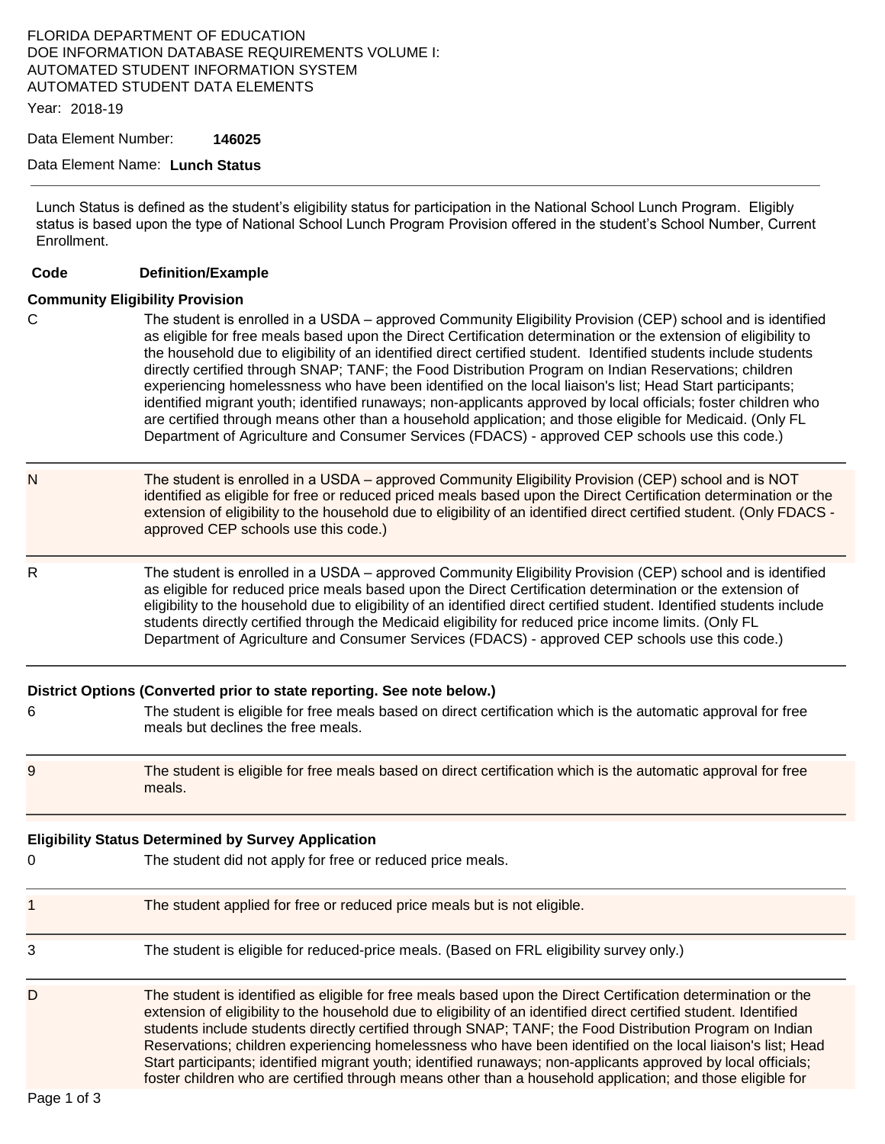## FLORIDA DEPARTMENT OF EDUCATION DOE INFORMATION DATABASE REQUIREMENTS VOLUME I: AUTOMATED STUDENT INFORMATION SYSTEM AUTOMATED STUDENT DATA ELEMENTS

Year: 2018-19

Data Element Number: **146025** 

### Data Element Name: **Lunch Status**

Lunch Status is defined as the student's eligibility status for participation in the National School Lunch Program. Eligibly status is based upon the type of National School Lunch Program Provision offered in the student's School Number, Current Enrollment.

#### **Code Definition/Example**

### **Community Eligibility Provision**

- C The student is enrolled in a USDA approved Community Eligibility Provision (CEP) school and is identified as eligible for free meals based upon the Direct Certification determination or the extension of eligibility to the household due to eligibility of an identified direct certified student. Identified students include students directly certified through SNAP; TANF; the Food Distribution Program on Indian Reservations; children experiencing homelessness who have been identified on the local liaison's list; Head Start participants; identified migrant youth; identified runaways; non-applicants approved by local officials; foster children who are certified through means other than a household application; and those eligible for Medicaid. (Only FL Department of Agriculture and Consumer Services (FDACS) - approved CEP schools use this code.)
- N The student is enrolled in a USDA approved Community Eligibility Provision (CEP) school and is NOT identified as eligible for free or reduced priced meals based upon the Direct Certification determination or the extension of eligibility to the household due to eligibility of an identified direct certified student. (Only FDACS approved CEP schools use this code.)
- R The student is enrolled in a USDA approved Community Eligibility Provision (CEP) school and is identified as eligible for reduced price meals based upon the Direct Certification determination or the extension of eligibility to the household due to eligibility of an identified direct certified student. Identified students include students directly certified through the Medicaid eligibility for reduced price income limits. (Only FL Department of Agriculture and Consumer Services (FDACS) - approved CEP schools use this code.)

| 6 | District Options (Converted prior to state reporting. See note below.)<br>The student is eligible for free meals based on direct certification which is the automatic approval for free<br>meals but declines the free meals.                                                                                                                                                                                                                                  |
|---|----------------------------------------------------------------------------------------------------------------------------------------------------------------------------------------------------------------------------------------------------------------------------------------------------------------------------------------------------------------------------------------------------------------------------------------------------------------|
| 9 | The student is eligible for free meals based on direct certification which is the automatic approval for free<br>meals.                                                                                                                                                                                                                                                                                                                                        |
| 0 | <b>Eligibility Status Determined by Survey Application</b><br>The student did not apply for free or reduced price meals.                                                                                                                                                                                                                                                                                                                                       |
| 1 | The student applied for free or reduced price meals but is not eligible.                                                                                                                                                                                                                                                                                                                                                                                       |
| 3 | The student is eligible for reduced-price meals. (Based on FRL eligibility survey only.)                                                                                                                                                                                                                                                                                                                                                                       |
| D | The student is identified as eligible for free meals based upon the Direct Certification determination or the<br>extension of eligibility to the household due to eligibility of an identified direct certified student. Identified<br>students include students directly certified through SNAP; TANF; the Food Distribution Program on Indian<br>Reservations; children experiencing homelessness who have been identified on the local liaison's list; Head |

Start participants; identified migrant youth; identified runaways; non-applicants approved by local officials; foster children who are certified through means other than a household application; and those eligible for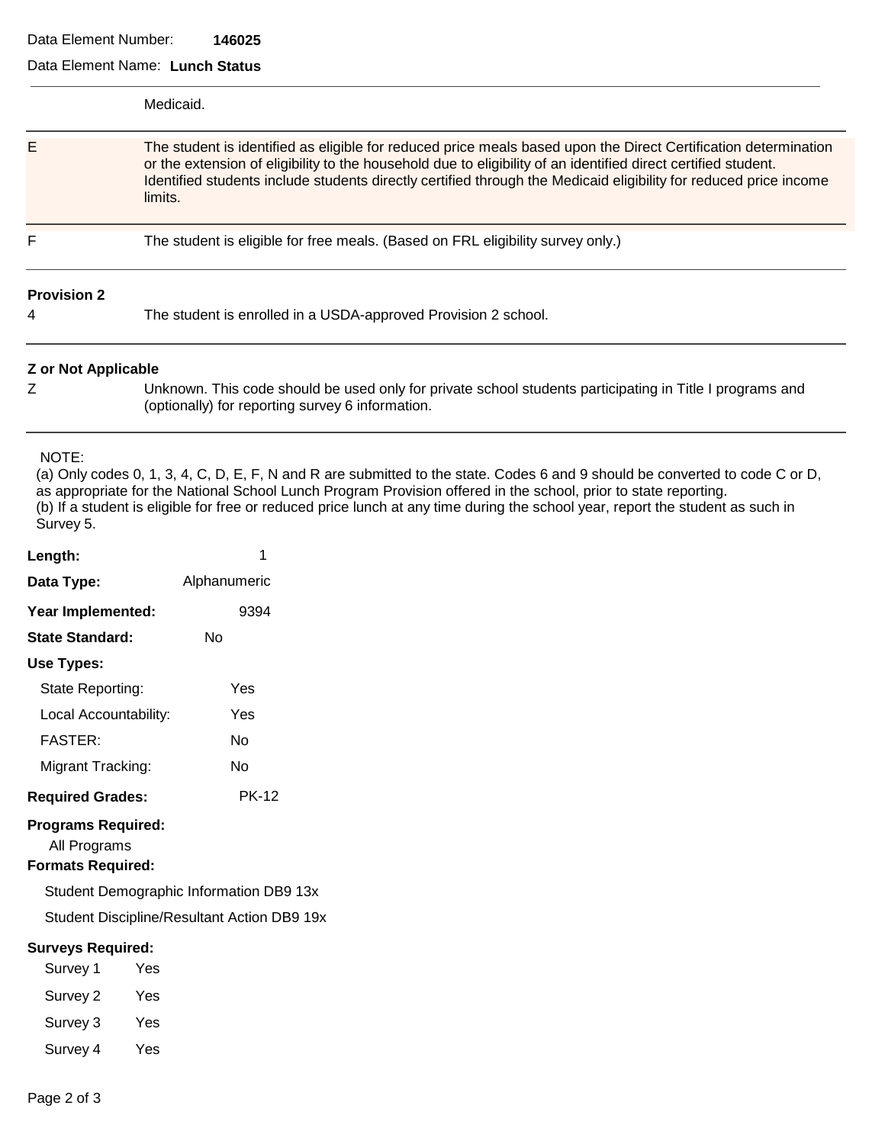## Data Element Number: **146025**

| Data Element Name: Lunch Status                                       |                                                                                                                                                                                                                                                                                                                                                                                   |  |  |
|-----------------------------------------------------------------------|-----------------------------------------------------------------------------------------------------------------------------------------------------------------------------------------------------------------------------------------------------------------------------------------------------------------------------------------------------------------------------------|--|--|
|                                                                       | Medicaid.                                                                                                                                                                                                                                                                                                                                                                         |  |  |
| Е                                                                     | The student is identified as eligible for reduced price meals based upon the Direct Certification determination<br>or the extension of eligibility to the household due to eligibility of an identified direct certified student.<br>Identified students include students directly certified through the Medicaid eligibility for reduced price income<br>limits.                 |  |  |
| F                                                                     | The student is eligible for free meals. (Based on FRL eligibility survey only.)                                                                                                                                                                                                                                                                                                   |  |  |
| <b>Provision 2</b>                                                    |                                                                                                                                                                                                                                                                                                                                                                                   |  |  |
| 4                                                                     | The student is enrolled in a USDA-approved Provision 2 school.                                                                                                                                                                                                                                                                                                                    |  |  |
| <b>Z</b> or Not Applicable                                            |                                                                                                                                                                                                                                                                                                                                                                                   |  |  |
| Ζ                                                                     | Unknown. This code should be used only for private school students participating in Title I programs and<br>(optionally) for reporting survey 6 information.                                                                                                                                                                                                                      |  |  |
| NOTE:<br>Survey 5.                                                    | (a) Only codes 0, 1, 3, 4, C, D, E, F, N and R are submitted to the state. Codes 6 and 9 should be converted to code C or D,<br>as appropriate for the National School Lunch Program Provision offered in the school, prior to state reporting.<br>(b) If a student is eligible for free or reduced price lunch at any time during the school year, report the student as such in |  |  |
| Length:                                                               | 1                                                                                                                                                                                                                                                                                                                                                                                 |  |  |
| Data Type:                                                            | Alphanumeric                                                                                                                                                                                                                                                                                                                                                                      |  |  |
| Year Implemented:                                                     | 9394                                                                                                                                                                                                                                                                                                                                                                              |  |  |
| <b>State Standard:</b>                                                | No                                                                                                                                                                                                                                                                                                                                                                                |  |  |
| <b>Use Types:</b>                                                     |                                                                                                                                                                                                                                                                                                                                                                                   |  |  |
| State Reporting:                                                      | Yes                                                                                                                                                                                                                                                                                                                                                                               |  |  |
| Local Accountability:                                                 | Yes                                                                                                                                                                                                                                                                                                                                                                               |  |  |
| <b>FASTER:</b>                                                        | No                                                                                                                                                                                                                                                                                                                                                                                |  |  |
| Migrant Tracking:                                                     | No                                                                                                                                                                                                                                                                                                                                                                                |  |  |
| <b>Required Grades:</b>                                               | <b>PK-12</b>                                                                                                                                                                                                                                                                                                                                                                      |  |  |
| <b>Programs Required:</b><br>All Programs<br><b>Formats Required:</b> |                                                                                                                                                                                                                                                                                                                                                                                   |  |  |
|                                                                       | Student Demographic Information DB9 13x                                                                                                                                                                                                                                                                                                                                           |  |  |
|                                                                       | Student Discipline/Resultant Action DB9 19x                                                                                                                                                                                                                                                                                                                                       |  |  |
| <b>Surveys Required:</b>                                              |                                                                                                                                                                                                                                                                                                                                                                                   |  |  |
| Survey 1                                                              | Yes                                                                                                                                                                                                                                                                                                                                                                               |  |  |
| Survey 2                                                              | Yes                                                                                                                                                                                                                                                                                                                                                                               |  |  |

- Survey 3 Yes
- Survey 4 Yes